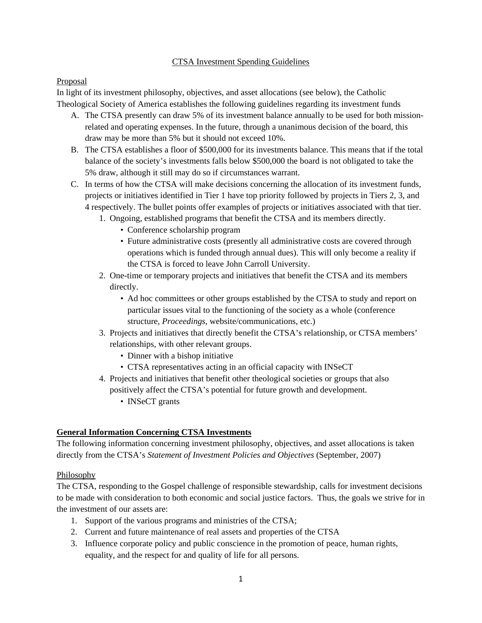#### CTSA Investment Spending Guidelines

## Proposal

In light of its investment philosophy, objectives, and asset allocations (see below), the Catholic Theological Society of America establishes the following guidelines regarding its investment funds

- A. The CTSA presently can draw 5% of its investment balance annually to be used for both missionrelated and operating expenses. In the future, through a unanimous decision of the board, this draw may be more than 5% but it should not exceed 10%.
- B. The CTSA establishes a floor of \$500,000 for its investments balance. This means that if the total balance of the society's investments falls below \$500,000 the board is not obligated to take the 5% draw, although it still may do so if circumstances warrant.
- C. In terms of how the CTSA will make decisions concerning the allocation of its investment funds, projects or initiatives identified in Tier 1 have top priority followed by projects in Tiers 2, 3, and 4 respectively. The bullet points offer examples of projects or initiatives associated with that tier.
	- 1. Ongoing, established programs that benefit the CTSA and its members directly.
		- Conference scholarship program
		- Future administrative costs (presently all administrative costs are covered through operations which is funded through annual dues). This will only become a reality if the CTSA is forced to leave John Carroll University.
	- 2. One-time or temporary projects and initiatives that benefit the CTSA and its members directly.
		- Ad hoc committees or other groups established by the CTSA to study and report on particular issues vital to the functioning of the society as a whole (conference structure, *Proceedings*, website/communications, etc.)
	- 3. Projects and initiatives that directly benefit the CTSA's relationship, or CTSA members' relationships, with other relevant groups.
		- Dinner with a bishop initiative
		- CTSA representatives acting in an official capacity with INSeCT
	- 4. Projects and initiatives that benefit other theological societies or groups that also positively affect the CTSA's potential for future growth and development.
		- **INSeCT** grants

# **General Information Concerning CTSA Investments**

The following information concerning investment philosophy, objectives, and asset allocations is taken directly from the CTSA's *Statement of Investment Policies and Objectives* (September, 2007)

# Philosophy

The CTSA, responding to the Gospel challenge of responsible stewardship, calls for investment decisions to be made with consideration to both economic and social justice factors. Thus, the goals we strive for in the investment of our assets are:

- 1. Support of the various programs and ministries of the CTSA;
- 2. Current and future maintenance of real assets and properties of the CTSA
- 3. Influence corporate policy and public conscience in the promotion of peace, human rights, equality, and the respect for and quality of life for all persons.